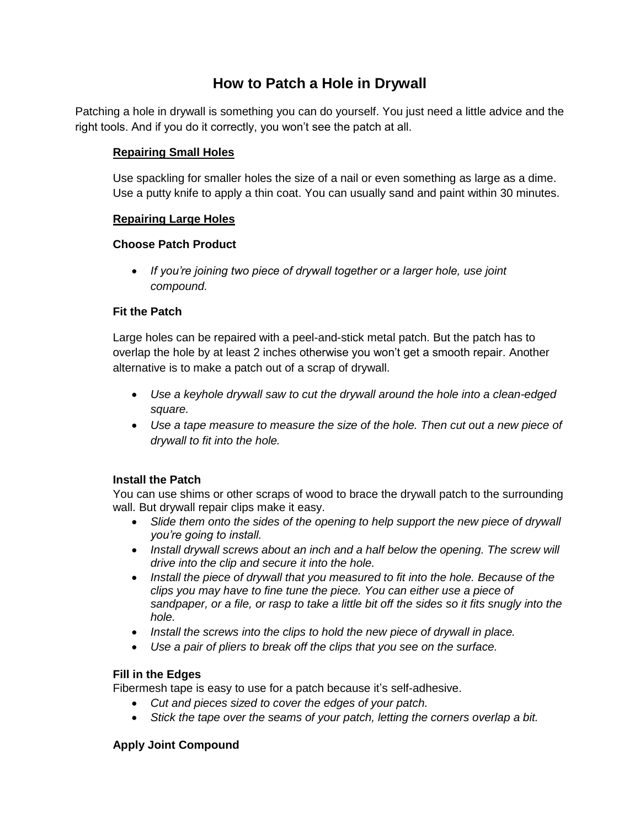# **How to Patch a Hole in Drywall**

Patching a hole in drywall is something you can do yourself. You just need a little advice and the right tools. And if you do it correctly, you won't see the patch at all.

### **Repairing Small Holes**

Use spackling for smaller holes the size of a nail or even something as large as a dime. Use a putty knife to apply a thin coat. You can usually sand and paint within 30 minutes.

#### **Repairing Large Holes**

#### **Choose Patch Product**

 *If you're joining two piece of drywall together or a larger hole, use joint compound.*

#### **Fit the Patch**

Large holes can be repaired with a peel-and-stick metal patch. But the patch has to overlap the hole by at least 2 inches otherwise you won't get a smooth repair. Another alternative is to make a patch out of a scrap of drywall.

- *Use a keyhole drywall saw to cut the drywall around the hole into a clean-edged square.*
- *Use a tape measure to measure the size of the hole. Then cut out a new piece of drywall to fit into the hole.*

# **Install the Patch**

You can use shims or other scraps of wood to brace the drywall patch to the surrounding wall. But drywall repair clips make it easy.

- *Slide them onto the sides of the opening to help support the new piece of drywall you're going to install.*
- **•** Install drywall screws about an inch and a half below the opening. The screw will *drive into the clip and secure it into the hole.*
- *Install the piece of drywall that you measured to fit into the hole. Because of the clips you may have to fine tune the piece. You can either use a piece of sandpaper, or a file, or rasp to take a little bit off the sides so it fits snugly into the hole.*
- *Install the screws into the clips to hold the new piece of drywall in place.*
- *Use a pair of pliers to break off the clips that you see on the surface.*

#### **Fill in the Edges**

Fibermesh tape is easy to use for a patch because it's self-adhesive.

- *Cut and pieces sized to cover the edges of your patch.*
- Stick the tape over the seams of your patch, letting the corners overlap a bit.

# **Apply Joint Compound**